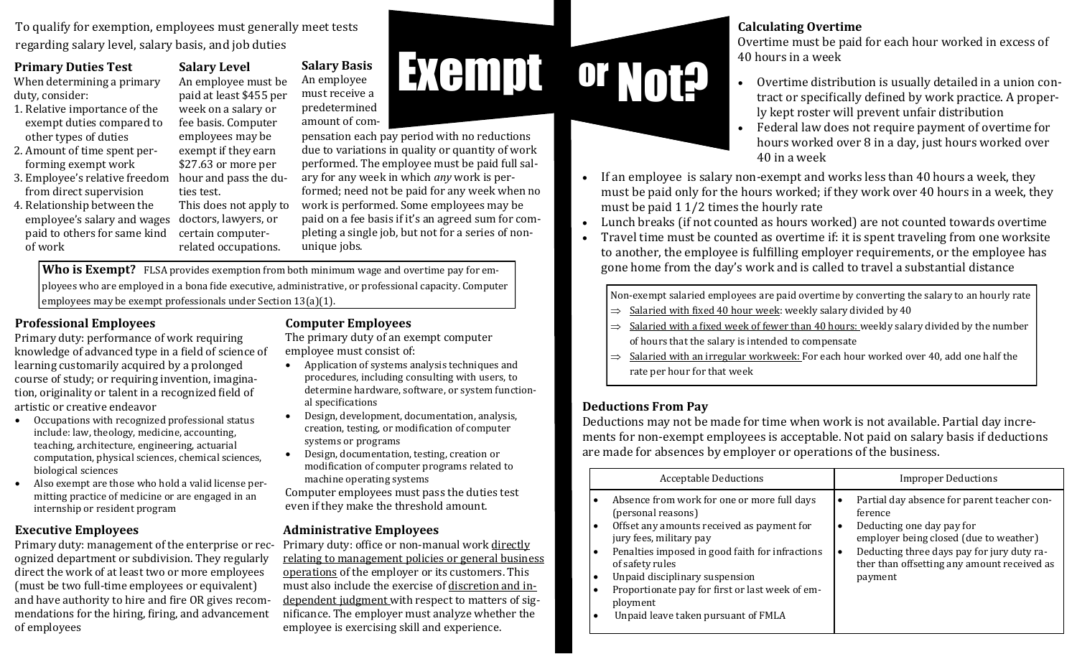To qualify for exemption, employees must generally meet tests regarding salary level, salary basis, and job duties

#### **Primary Duties Test**

When determining a primary duty, consider:

- 1. Relative importance of the exempt duties compared to other types of duties
- 2. Amount of time spent performing exempt work
- 3. Employee's relative freedom hour and pass the dufrom direct supervision
- employee's salary and wages doctors, lawyers, or 4. Relationship between the paid to others for same kind of work

An employee must be paid at least \$455 per week on a salary or fee basis. Computer employees may be exempt if they earn \$27.63 or more per ties test. This does not apply to

certain computerrelated occupations.

**Salary Level**

#### Exempt **Salary Basis** An employee must receive a predetermined amount of com-

pensation each pay period with no reductions due to variations in quality or quantity of work performed. The employee must be paid full salary for any week in which *any* work is performed; need not be paid for any week when no work is performed. Some employees may be paid on a fee basis if it's an agreed sum for completing a single job, but not for a series of nonunique jobs.

**Who is Exempt?** FLSA provides exemption from both minimum wage and overtime pay for employees who are employed in a bona fide executive, administrative, or professional capacity. Computer employees may be exempt professionals under Section 13(a)(1).

#### **Professional Employees**

Primary duty: performance of work requiring knowledge of advanced type in a field of science of learning customarily acquired by a prolonged course of study; or requiring invention, imagination, originality or talent in a recognized field of artistic or creative endeavor

- Occupations with recognized professional status include: law, theology, medicine, accounting, teaching, architecture, engineering, actuarial computation, physical sciences, chemical sciences, biological sciences
- Also exempt are those who hold a valid license permitting practice of medicine or are engaged in an internship or resident program

#### **Executive Employees**

Primary duty: management of the enterprise or recognized department or subdivision. They regularly direct the work of at least two or more employees (must be two full-time employees or equivalent) and have authority to hire and fire OR gives recommendations for the hiring, firing, and advancement of employees

## **Computer Employees**

The primary duty of an exempt computer employee must consist of:

- Application of systems analysis techniques and procedures, including consulting with users, to determine hardware, software, or system functional specifications
- Design, development, documentation, analysis, creation, testing, or modification of computer systems or programs
- Design, documentation, testing, creation or modification of computer programs related to machine operating systems

Computer employees must pass the duties test even if they make the threshold amount.

### **Administrative Employees**

Primary duty: office or non-manual work directly relating to management policies or general business operations of the employer or its customers. This must also include the exercise of discretion and independent judgment with respect to matters of significance. The employer must analyze whether the employee is exercising skill and experience.

### **Calculating Overtime**

Overtime must be paid for each hour worked in excess of 40 hours in a week

- Overtime distribution is usually detailed in a union contract or specifically defined by work practice. A properly kept roster will prevent unfair distribution
- Federal law does not require payment of overtime for hours worked over 8 in a day, just hours worked over 40 in a week
- If an employee is salary non-exempt and works less than 40 hours a week, they must be paid only for the hours worked; if they work over 40 hours in a week, they must be paid 1 1/2 times the hourly rate
- Lunch breaks (if not counted as hours worked) are not counted towards overtime
- Travel time must be counted as overtime if: it is spent traveling from one worksite to another, the employee is fulfilling employer requirements, or the employee has gone home from the day's work and is called to travel a substantial distance

Non-exempt salaried employees are paid overtime by converting the salary to an hourly rate

- $\Rightarrow$  Salaried with fixed 40 hour week: weekly salary divided by 40
- $\Rightarrow$  Salaried with a fixed week of fewer than 40 hours: weekly salary divided by the number of hours that the salary is intended to compensate
- $\Rightarrow$  Salaried with an irregular workweek: For each hour worked over 40, add one half the rate per hour for that week

## **Deductions From Pay**

Not? or

Deductions may not be made for time when work is not available. Partial day increments for non-exempt employees is acceptable. Not paid on salary basis if deductions are made for absences by employer or operations of the business.

| <b>Acceptable Deductions</b>                                                                                                                                                                                                                                                                                                                                                                    | <b>Improper Deductions</b>                                                                                                                                                                                                                                           |
|-------------------------------------------------------------------------------------------------------------------------------------------------------------------------------------------------------------------------------------------------------------------------------------------------------------------------------------------------------------------------------------------------|----------------------------------------------------------------------------------------------------------------------------------------------------------------------------------------------------------------------------------------------------------------------|
| Absence from work for one or more full days<br>(personal reasons)<br>Offset any amounts received as payment for<br>jury fees, military pay<br>Penalties imposed in good faith for infractions<br>$\bullet$<br>of safety rules<br>Unpaid disciplinary suspension<br>$\bullet$<br>Proportionate pay for first or last week of em-<br>ployment<br>Unpaid leave taken pursuant of FMLA<br>$\bullet$ | Partial day absence for parent teacher con-<br>$\bullet$<br>ference<br>Deducting one day pay for<br>٠<br>employer being closed (due to weather)<br>Deducting three days pay for jury duty ra-<br>$\bullet$<br>ther than offsetting any amount received as<br>payment |